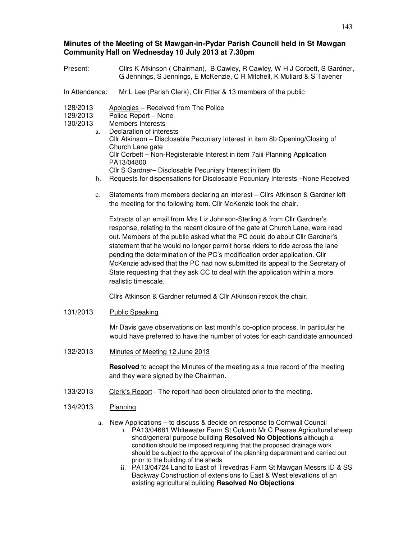# **Minutes of the Meeting of St Mawgan-in-Pydar Parish Council held in St Mawgan Community Hall on Wednesday 10 July 2013 at 7.30pm**

- Present: Cllrs K Atkinson ( Chairman), B Cawley, R Cawley, W H J Corbett, S Gardner, G Jennings, S Jennings, E McKenzie, C R Mitchell, K Mullard & S Tavener
- In Attendance: Mr L Lee (Parish Clerk), Cllr Fitter & 13 members of the public
- 128/2013 Apologies Received from The Police
- 129/2013 Police Report None
- 130/2013 Members Interests
	- a. Declaration of interests Cllr Atkinson – Disclosable Pecuniary Interest in item 8b Opening/Closing of Church Lane gate Cllr Corbett – Non-Registerable Interest in item 7aiii Planning Application PA13/04800 Cllr S Gardner– Disclosable Pecuniary Interest in item 8b
		- b. Requests for dispensations for Disclosable Pecuniary Interests –None Received
		- c. Statements from members declaring an interest Cllrs Atkinson & Gardner left the meeting for the following item. Cllr McKenzie took the chair.

Extracts of an email from Mrs Liz Johnson-Sterling & from Cllr Gardner's response, relating to the recent closure of the gate at Church Lane, were read out. Members of the public asked what the PC could do about Cllr Gardner's statement that he would no longer permit horse riders to ride across the lane pending the determination of the PC's modification order application. Cllr McKenzie advised that the PC had now submitted its appeal to the Secretary of State requesting that they ask CC to deal with the application within a more realistic timescale.

Cllrs Atkinson & Gardner returned & Cllr Atkinson retook the chair.

131/2013 Public Speaking

Mr Davis gave observations on last month's co-option process. In particular he would have preferred to have the number of votes for each candidate announced

132/2013 Minutes of Meeting 12 June 2013

**Resolved** to accept the Minutes of the meeting as a true record of the meeting and they were signed by the Chairman.

- 133/2013 Clerk's Report The report had been circulated prior to the meeting.
- 134/2013 Planning
	- a. New Applications to discuss & decide on response to Cornwall Council
		- i. PA13/04681 Whitewater Farm St Columb Mr C Pearse Agricultural sheep shed/general purpose building **Resolved No Objections** although a condition should be imposed requiring that the proposed drainage work should be subject to the approval of the planning department and carried out prior to the building of the sheds
		- ii. PA13/04724 Land to East of Trevedras Farm St Mawgan Messrs ID & SS Backway Construction of extensions to East & West elevations of an existing agricultural building **Resolved No Objections**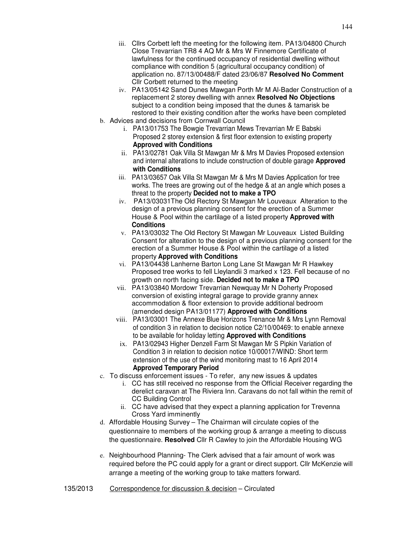- iv. PA13/05142 Sand Dunes Mawgan Porth Mr M Al-Bader Construction of a replacement 2 storey dwelling with annex **Resolved No Objections**  subject to a condition being imposed that the dunes & tamarisk be restored to their existing condition after the works have been completed
- b. Advices and decisions from Cornwall Council
	- i. PA13/01753 The Bowgie Trevarrian Mews Trevarrian Mr E Babski Proposed 2 storey extension & first floor extension to existing property **Approved with Conditions**
	- ii. PA13/02781 Oak Villa St Mawgan Mr & Mrs M Davies Proposed extension and internal alterations to include construction of double garage **Approved with Conditions**
	- iii. PA13/03657 Oak Villa St Mawgan Mr & Mrs M Davies Application for tree works. The trees are growing out of the hedge & at an angle which poses a threat to the property **Decided not to make a TPO**
	- iv. PA13/03031The Old Rectory St Mawgan Mr Louveaux Alteration to the design of a previous planning consent for the erection of a Summer House & Pool within the cartilage of a listed property **Approved with Conditions**
	- v. PA13/03032 The Old Rectory St Mawgan Mr Louveaux Listed Building Consent for alteration to the design of a previous planning consent for the erection of a Summer House & Pool within the cartilage of a listed property **Approved with Conditions**
	- vi. PA13/04438 Lanherne Barton Long Lane St Mawgan Mr R Hawkey Proposed tree works to fell Lleylandii 3 marked x 123. Fell because of no growth on north facing side. **Decided not to make a TPO**
	- vii. PA13/03840 Mordowr Trevarrian Newquay Mr N Doherty Proposed conversion of existing integral garage to provide granny annex accommodation & floor extension to provide additional bedroom (amended design PA13/01177) **Approved with Conditions**
	- viii. PA13/03001 The Annexe Blue Horizons Trenance Mr & Mrs Lynn Removal of condition 3 in relation to decision notice C2/10/00469: to enable annexe to be available for holiday letting **Approved with Conditions**
	- ix. PA13/02943 Higher Denzell Farm St Mawgan Mr S Pipkin Variation of Condition 3 in relation to decision notice 10/00017/WIND: Short term extension of the use of the wind monitoring mast to 16 April 2014 **Approved Temporary Period**
- c. To discuss enforcement issues To refer, any new issues & updates
	- i. CC has still received no response from the Official Receiver regarding the derelict caravan at The Riviera Inn. Caravans do not fall within the remit of CC Building Control
	- ii. CC have advised that they expect a planning application for Trevenna Cross Yard imminently
- d. Affordable Housing Survey The Chairman will circulate copies of the questionnaire to members of the working group & arrange a meeting to discuss the questionnaire. **Resolved** Cllr R Cawley to join the Affordable Housing WG
- e. Neighbourhood Planning- The Clerk advised that a fair amount of work was required before the PC could apply for a grant or direct support. Cllr McKenzie will arrange a meeting of the working group to take matters forward.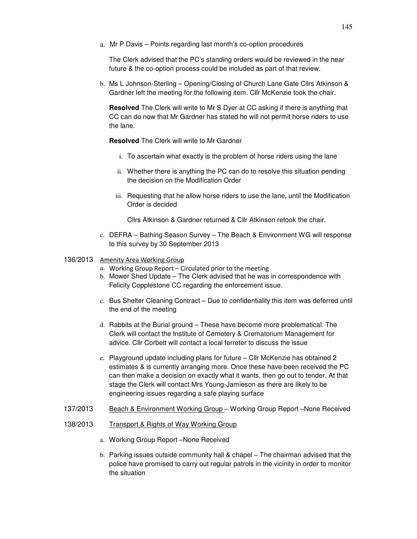a. Mr P Davis – Points regarding last month's co-option procedures

The Clerk advised that the PC's standing orders would be reviewed in the near future & the co-option process could be included as part of that review.

b. Ms L Johnson-Sterling – Opening/Closing of Church Lane Gate Cllrs Atkinson & Gardner left the meeting for the following item. Cllr McKenzie took the chair.

**Resolved** The Clerk will write to Mr S Dyer at CC asking if there is anything that CC can do now that Mr Gardner has stated he will not permit horse riders to use the lane.

**Resolved** The Clerk will write to Mr Gardner

- i. To ascertain what exactly is the problem of horse riders using the lane
- ii. Whether there is anything the PC can do to resolve this situation pending the decision on the Modification Order
- iii. Requesting that he allow horse riders to use the lane, until the Modification Order is decided

Cllrs Atkinson & Gardner returned & Cllr Atkinson retook the chair.

c. DEFRA – Bathing Season Survey – The Beach & Environment WG will response to this survey by 30 September 2013

## 136/2013 Amenity Area Working Group

- a. Working Group Report Circulated prior to the meeting
- b. Mower Shed Update The Clerk advised that he was in correspondence with Felicity Copplestone CC regarding the enforcement issue.
- c. Bus Shelter Cleaning Contract Due to confidentiality this item was deferred until the end of the meeting
- d. Rabbits at the Burial ground These have become more problematical. The Clerk will contact the Institute of Cemetery & Crematorium Management for advice. Cllr Corbett will contact a local ferreter to discuss the issue
- e. Playground update including plans for future Cllr McKenzie has obtained 2 estimates & is currently arranging more. Once these have been received the PC can then make a decision on exactly what it wants, then go out to tender. At that stage the Clerk will contact Mrs Young-Jamieson as there are likely to be engineering issues regarding a safe playing surface
- 137/2013 Beach & Environment Working Group Working Group Report –None Received
- 138/2013 Transport & Rights of Way Working Group
	- a. Working Group Report –None Received
	- b. Parking issues outside community hall & chapel The chairman advised that the police have promised to carry out regular patrols in the vicinity in order to monitor the situation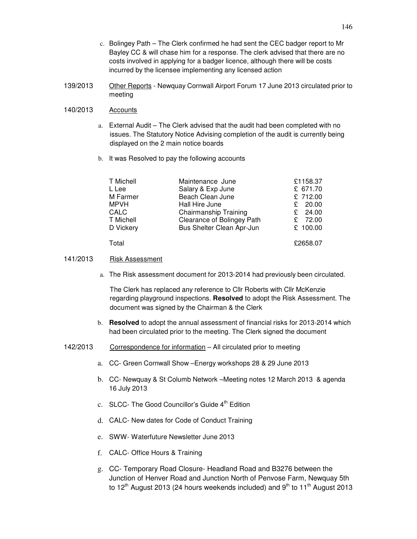- c. Bolingey Path The Clerk confirmed he had sent the CEC badger report to Mr Bayley CC & will chase him for a response. The clerk advised that there are no costs involved in applying for a badger licence, although there will be costs incurred by the licensee implementing any licensed action
- 139/2013 Other Reports Newquay Cornwall Airport Forum 17 June 2013 circulated prior to meeting

## 140/2013 Accounts

- a. External Audit The Clerk advised that the audit had been completed with no issues. The Statutory Notice Advising completion of the audit is currently being displayed on the 2 main notice boards
- b. It was Resolved to pay the following accounts

| T Michell   | Maintenance June           | £1158.37  |
|-------------|----------------------------|-----------|
| L Lee       | Salary & Exp June          | £ 671.70  |
| M Farmer    | Beach Clean June           | £ 712.00  |
| <b>MPVH</b> | Hall Hire June             | £ $20.00$ |
| CALC        | Chairmanship Training      | £ 24.00   |
| T Michell   | Clearance of Bolingey Path | £ 72.00   |
| D Vickery   | Bus Shelter Clean Apr-Jun  | £ 100.00  |
| Total       |                            | £2658.07  |

## 141/2013 Risk Assessment

a. The Risk assessment document for 2013-2014 had previously been circulated.

The Clerk has replaced any reference to Cllr Roberts with Cllr McKenzie regarding playground inspections. **Resolved** to adopt the Risk Assessment. The document was signed by the Chairman & the Clerk

- b. **Resolved** to adopt the annual assessment of financial risks for 2013-2014 which had been circulated prior to the meeting. The Clerk signed the document
- 142/2013 Correspondence for information All circulated prior to meeting
	- a. CC- Green Cornwall Show –Energy workshops 28 & 29 June 2013
	- b. CC- Newquay & St Columb Network –Meeting notes 12 March 2013 & agenda 16 July 2013
	- c. SLCC- The Good Councillor's Guide 4<sup>th</sup> Edition
	- d. CALC- New dates for Code of Conduct Training
	- e. SWW- Waterfuture Newsletter June 2013
	- f. CALC- Office Hours & Training
	- g. CC- Temporary Road Closure- Headland Road and B3276 between the Junction of Henver Road and Junction North of Penvose Farm, Newquay 5th to 12<sup>th</sup> August 2013 (24 hours weekends included) and 9<sup>th</sup> to 11<sup>th</sup> August 2013